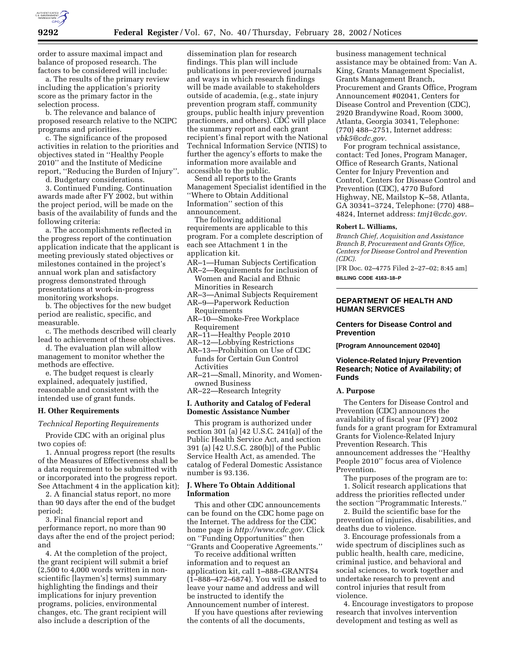

order to assure maximal impact and balance of proposed research. The factors to be considered will include:

a. The results of the primary review including the application's priority score as the primary factor in the selection process.

b. The relevance and balance of proposed research relative to the NCIPC programs and priorities.

c. The significance of the proposed activities in relation to the priorities and objectives stated in ''Healthy People 2010'' and the Institute of Medicine report, ''Reducing the Burden of Injury''.

d. Budgetary considerations.

3. Continued Funding. Continuation awards made after FY 2002, but within the project period, will be made on the basis of the availability of funds and the following criteria:

a. The accomplishments reflected in the progress report of the continuation application indicate that the applicant is meeting previously stated objectives or milestones contained in the project's annual work plan and satisfactory progress demonstrated through presentations at work-in-progress monitoring workshops.

b. The objectives for the new budget period are realistic, specific, and measurable.

c. The methods described will clearly lead to achievement of these objectives.

d. The evaluation plan will allow management to monitor whether the methods are effective.

e. The budget request is clearly explained, adequately justified, reasonable and consistent with the intended use of grant funds.

### **H. Other Requirements**

#### *Technical Reporting Requirements*

Provide CDC with an original plus two copies of:

1. Annual progress report (the results of the Measures of Effectiveness shall be a data requirement to be submitted with or incorporated into the progress report. See Attachment 4 in the application kit);

2. A financial status report, no more than 90 days after the end of the budget period;

3. Final financial report and performance report, no more than 90 days after the end of the project period; and

4. At the completion of the project, the grant recipient will submit a brief  $(2,500)$  to  $4,000$  words written in nonscientific [laymen's] terms) summary highlighting the findings and their implications for injury prevention programs, policies, environmental changes, etc. The grant recipient will also include a description of the

dissemination plan for research findings. This plan will include publications in peer-reviewed journals and ways in which research findings will be made available to stakeholders outside of academia, (e.g., state injury prevention program staff, community groups, public health injury prevention practioners, and others). CDC will place the summary report and each grant recipient's final report with the National Technical Information Service (NTIS) to further the agency's efforts to make the information more available and accessible to the public.

Send all reports to the Grants Management Specialist identified in the ''Where to Obtain Additional Information'' section of this announcement.

The following additional requirements are applicable to this program. For a complete description of each see Attachment 1 in the application kit.

- AR–1—Human Subjects Certification
- AR–2—Requirements for inclusion of Women and Racial and Ethnic Minorities in Research
- AR–3—Animal Subjects Requirement AR–9—Paperwork Reduction
- Requirements
- AR–10—Smoke-Free Workplace Requirement
- AR–11—Healthy People 2010
- AR–12—Lobbying Restrictions
- AR–13—Prohibition on Use of CDC funds for Certain Gun Control Activities
- AR–21—Small, Minority, and Womenowned Business
- AR–22—Research Integrity

# **I. Authority and Catalog of Federal Domestic Assistance Number**

This program is authorized under section 301 (a) [42 U.S.C. 241(a)] of the Public Health Service Act, and section 391 (a) [42 U.S.C. 280(b)] of the Public Service Health Act, as amended. The catalog of Federal Domestic Assistance number is 93.136.

# **J. Where To Obtain Additional Information**

This and other CDC announcements can be found on the CDC home page on the Internet. The address for the CDC home page is *http://www.cdc.gov.* Click on ''Funding Opportunities'' then ''Grants and Cooperative Agreements.''

To receive additional written information and to request an application kit, call 1–888–GRANTS4 (1–888–472–6874). You will be asked to leave your name and address and will be instructed to identify the Announcement number of interest.

If you have questions after reviewing the contents of all the documents,

business management technical assistance may be obtained from: Van A. King, Grants Management Specialist, Grants Management Branch, Procurement and Grants Office, Program Announcement #02041, Centers for Disease Control and Prevention (CDC), 2920 Brandywine Road, Room 3000, Atlanta, Georgia 30341, Telephone: (770) 488–2751, Internet address: *vbk5@cdc.gov.*

For program technical assistance, contact: Ted Jones, Program Manager, Office of Research Grants, National Center for Injury Prevention and Control, Centers for Disease Control and Prevention (CDC), 4770 Buford Highway, NE, Mailstop K–58, Atlanta, GA 30341–3724, Telephone: (770) 488– 4824, Internet address: *tmj1@cdc.gov.*

### **Robert L. Williams,**

*Branch Chief, Acquisition and Assistance Branch B, Procurement and Grants Office, Centers for Disease Control and Prevention (CDC).*

[FR Doc. 02–4775 Filed 2–27–02; 8:45 am] **BILLING CODE 4163–18–P**

## **DEPARTMENT OF HEALTH AND HUMAN SERVICES**

# **Centers for Disease Control and Prevention**

**[Program Announcement 02040]**

# **Violence-Related Injury Prevention Research; Notice of Availability; of Funds**

#### **A. Purpose**

The Centers for Disease Control and Prevention (CDC) announces the availability of fiscal year (FY) 2002 funds for a grant program for Extramural Grants for Violence-Related Injury Prevention Research. This announcement addresses the ''Healthy People 2010'' focus area of Violence Prevention.

The purposes of the program are to: 1. Solicit research applications that address the priorities reflected under the section ''Programmatic Interests.''

2. Build the scientific base for the prevention of injuries, disabilities, and deaths due to violence.

3. Encourage professionals from a wide spectrum of disciplines such as public health, health care, medicine, criminal justice, and behavioral and social sciences, to work together and undertake research to prevent and control injuries that result from violence.

4. Encourage investigators to propose research that involves intervention development and testing as well as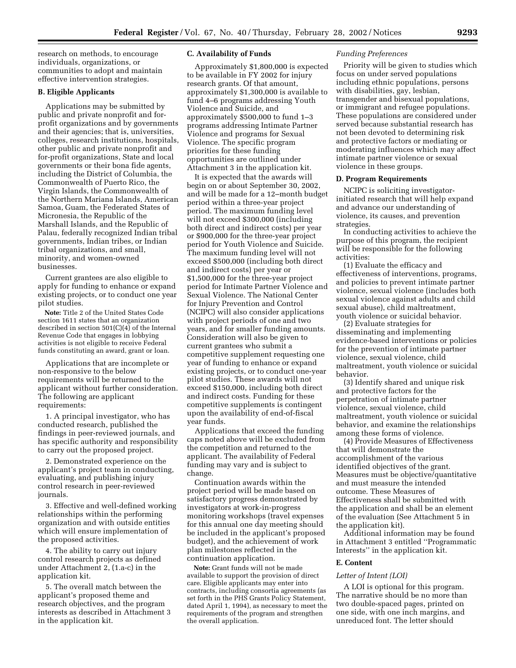research on methods, to encourage individuals, organizations, or communities to adopt and maintain effective intervention strategies.

## **B. Eligible Applicants**

Applications may be submitted by public and private nonprofit and forprofit organizations and by governments and their agencies; that is, universities, colleges, research institutions, hospitals, other public and private nonprofit and for-profit organizations, State and local governments or their bona fide agents, including the District of Columbia, the Commonwealth of Puerto Rico, the Virgin Islands, the Commonwealth of the Northern Mariana Islands, American Samoa, Guam, the Federated States of Micronesia, the Republic of the Marshall Islands, and the Republic of Palau, federally recognized Indian tribal governments, Indian tribes, or Indian tribal organizations, and small, minority, and women-owned businesses.

Current grantees are also eligible to apply for funding to enhance or expand existing projects, or to conduct one year pilot studies.

**Note:** Title 2 of the United States Code section 1611 states that an organization described in section  $501(C)(4)$  of the Internal Revenue Code that engages in lobbying activities is not eligible to receive Federal funds constituting an award, grant or loan.

Applications that are incomplete or non-responsive to the below requirements will be returned to the applicant without further consideration. The following are applicant requirements:

1. A principal investigator, who has conducted research, published the findings in peer-reviewed journals, and has specific authority and responsibility to carry out the proposed project.

2. Demonstrated experience on the applicant's project team in conducting, evaluating, and publishing injury control research in peer-reviewed journals.

3. Effective and well-defined working relationships within the performing organization and with outside entities which will ensure implementation of the proposed activities.

4. The ability to carry out injury control research projects as defined under Attachment 2, (1.a-c) in the application kit.

5. The overall match between the applicant's proposed theme and research objectives, and the program interests as described in Attachment 3 in the application kit.

### **C. Availability of Funds**

Approximately \$1,800,000 is expected to be available in FY 2002 for injury research grants. Of that amount, approximately \$1,300,000 is available to fund 4–6 programs addressing Youth Violence and Suicide, and approximately \$500,000 to fund 1–3 programs addressing Intimate Partner Violence and programs for Sexual Violence. The specific program priorities for these funding opportunities are outlined under Attachment 3 in the application kit.

It is expected that the awards will begin on or about September 30, 2002, and will be made for a 12–month budget period within a three-year project period. The maximum funding level will not exceed \$300,000 (including both direct and indirect costs) per year or \$900,000 for the three-year project period for Youth Violence and Suicide. The maximum funding level will not exceed \$500,000 (including both direct and indirect costs) per year or \$1,500,000 for the three-year project period for Intimate Partner Violence and Sexual Violence. The National Center for Injury Prevention and Control (NCIPC) will also consider applications with project periods of one and two years, and for smaller funding amounts. Consideration will also be given to current grantees who submit a competitive supplement requesting one year of funding to enhance or expand existing projects, or to conduct one-year pilot studies. These awards will not exceed \$150,000, including both direct and indirect costs. Funding for these competitive supplements is contingent upon the availability of end-of-fiscal year funds.

Applications that exceed the funding caps noted above will be excluded from the competition and returned to the applicant. The availability of Federal funding may vary and is subject to change.

Continuation awards within the project period will be made based on satisfactory progress demonstrated by investigators at work-in-progress monitoring workshops (travel expenses for this annual one day meeting should be included in the applicant's proposed budget), and the achievement of work plan milestones reflected in the continuation application.

**Note:** Grant funds will not be made available to support the provision of direct care. Eligible applicants may enter into contracts, including consortia agreements (as set forth in the PHS Grants Policy Statement, dated April 1, 1994), as necessary to meet the requirements of the program and strengthen the overall application.

### *Funding Preferences*

Priority will be given to studies which focus on under served populations including ethnic populations, persons with disabilities, gay, lesbian, transgender and bisexual populations, or immigrant and refugee populations. These populations are considered under served because substantial research has not been devoted to determining risk and protective factors or mediating or moderating influences which may affect intimate partner violence or sexual violence in these groups.

### **D. Program Requirements**

NCIPC is soliciting investigatorinitiated research that will help expand and advance our understanding of violence, its causes, and prevention strategies.

In conducting activities to achieve the purpose of this program, the recipient will be responsible for the following activities:

(1) Evaluate the efficacy and effectiveness of interventions, programs, and policies to prevent intimate partner violence, sexual violence (includes both sexual violence against adults and child sexual abuse), child maltreatment, youth violence or suicidal behavior.

(2) Evaluate strategies for disseminating and implementing evidence-based interventions or policies for the prevention of intimate partner violence, sexual violence, child maltreatment, youth violence or suicidal behavior.

(3) Identify shared and unique risk and protective factors for the perpetration of intimate partner violence, sexual violence, child maltreatment, youth violence or suicidal behavior, and examine the relationships among these forms of violence.

(4) Provide Measures of Effectiveness that will demonstrate the accomplishment of the various identified objectives of the grant. Measures must be objective/quantitative and must measure the intended outcome. These Measures of Effectiveness shall be submitted with the application and shall be an element of the evaluation (See Attachment 5 in the application kit).

Additional information may be found in Attachment 3 entitled ''Programmatic Interests'' in the application kit.

### **E. Content**

#### *Letter of Intent (LOI)*

A LOI is optional for this program. The narrative should be no more than two double-spaced pages, printed on one side, with one inch margins, and unreduced font. The letter should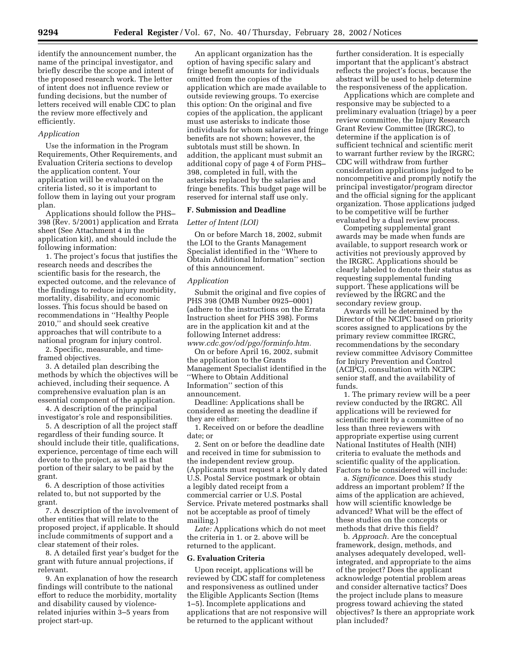identify the announcement number, the name of the principal investigator, and briefly describe the scope and intent of the proposed research work. The letter of intent does not influence review or funding decisions, but the number of letters received will enable CDC to plan the review more effectively and efficiently.

### *Application*

Use the information in the Program Requirements, Other Requirements, and Evaluation Criteria sections to develop the application content. Your application will be evaluated on the criteria listed, so it is important to follow them in laying out your program plan.

Applications should follow the PHS– 398 (Rev. 5/2001) application and Errata sheet (See Attachment 4 in the application kit), and should include the following information:

1. The project's focus that justifies the research needs and describes the scientific basis for the research, the expected outcome, and the relevance of the findings to reduce injury morbidity, mortality, disability, and economic losses. This focus should be based on recommendations in ''Healthy People 2010,'' and should seek creative approaches that will contribute to a national program for injury control.

2. Specific, measurable, and timeframed objectives.

3. A detailed plan describing the methods by which the objectives will be achieved, including their sequence. A comprehensive evaluation plan is an essential component of the application.

4. A description of the principal investigator's role and responsibilities.

5. A description of all the project staff regardless of their funding source. It should include their title, qualifications, experience, percentage of time each will devote to the project, as well as that portion of their salary to be paid by the grant.

6. A description of those activities related to, but not supported by the grant.

7. A description of the involvement of other entities that will relate to the proposed project, if applicable. It should include commitments of support and a clear statement of their roles.

8. A detailed first year's budget for the grant with future annual projections, if relevant.

9. An explanation of how the research findings will contribute to the national effort to reduce the morbidity, mortality and disability caused by violencerelated injuries within 3–5 years from project start-up.

An applicant organization has the option of having specific salary and fringe benefit amounts for individuals omitted from the copies of the application which are made available to outside reviewing groups. To exercise this option: On the original and five copies of the application, the applicant must use asterisks to indicate those individuals for whom salaries and fringe benefits are not shown; however, the subtotals must still be shown. In addition, the applicant must submit an additional copy of page 4 of Form PHS– 398, completed in full, with the asterisks replaced by the salaries and fringe benefits. This budget page will be reserved for internal staff use only.

### **F. Submission and Deadline**

### *Letter of Intent (LOI)*

On or before March 18, 2002, submit the LOI to the Grants Management Specialist identified in the ''Where to Obtain Additional Information'' section of this announcement.

### *Application*

Submit the original and five copies of PHS 398 (OMB Number 0925–0001) (adhere to the instructions on the Errata Instruction sheet for PHS 398). Forms are in the application kit and at the following Internet address: *www.cdc.gov/od/pgo/forminfo.htm.*

On or before April 16, 2002, submit the application to the Grants Management Specialist identified in the ''Where to Obtain Additional Information'' section of this announcement.

Deadline: Applications shall be considered as meeting the deadline if they are either:

1. Received on or before the deadline date; or

2. Sent on or before the deadline date and received in time for submission to the independent review group. (Applicants must request a legibly dated U.S. Postal Service postmark or obtain a legibly dated receipt from a commercial carrier or U.S. Postal Service. Private metered postmarks shall not be acceptable as proof of timely mailing.)

*Late:* Applications which do not meet the criteria in 1. or 2. above will be returned to the applicant.

#### **G. Evaluation Criteria**

Upon receipt, applications will be reviewed by CDC staff for completeness and responsiveness as outlined under the Eligible Applicants Section (Items 1–5). Incomplete applications and applications that are not responsive will be returned to the applicant without

further consideration. It is especially important that the applicant's abstract reflects the project's focus, because the abstract will be used to help determine the responsiveness of the application.

Applications which are complete and responsive may be subjected to a preliminary evaluation (triage) by a peer review committee, the Injury Research Grant Review Committee (IRGRC), to determine if the application is of sufficient technical and scientific merit to warrant further review by the IRGRC; CDC will withdraw from further consideration applications judged to be noncompetitive and promptly notify the principal investigator/program director and the official signing for the applicant organization. Those applications judged to be competitive will be further evaluated by a dual review process.

Competing supplemental grant awards may be made when funds are available, to support research work or activities not previously approved by the IRGRC. Applications should be clearly labeled to denote their status as requesting supplemental funding support. These applications will be reviewed by the IRGRC and the secondary review group.

Awards will be determined by the Director of the NCIPC based on priority scores assigned to applications by the primary review committee IRGRC, recommendations by the secondary review committee Advisory Committee for Injury Prevention and Control (ACIPC), consultation with NCIPC senior staff, and the availability of funds.

1. The primary review will be a peer review conducted by the IRGRC. All applications will be reviewed for scientific merit by a committee of no less than three reviewers with appropriate expertise using current National Institutes of Health (NIH) criteria to evaluate the methods and scientific quality of the application. Factors to be considered will include:

a. *Significance.* Does this study address an important problem? If the aims of the application are achieved, how will scientific knowledge be advanced? What will be the effect of these studies on the concepts or methods that drive this field?

b. *Approach.* Are the conceptual framework, design, methods, and analyses adequately developed, wellintegrated, and appropriate to the aims of the project? Does the applicant acknowledge potential problem areas and consider alternative tactics? Does the project include plans to measure progress toward achieving the stated objectives? Is there an appropriate work plan included?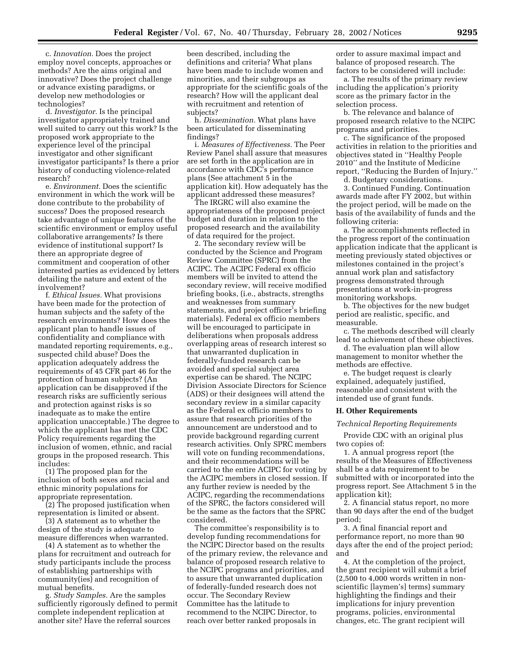c. *Innovation.* Does the project employ novel concepts, approaches or methods? Are the aims original and innovative? Does the project challenge or advance existing paradigms, or develop new methodologies or technologies?

d. *Investigator.* Is the principal investigator appropriately trained and well suited to carry out this work? Is the proposed work appropriate to the experience level of the principal investigator and other significant investigator participants? Is there a prior history of conducting violence-related research?

e. *Environment.* Does the scientific environment in which the work will be done contribute to the probability of success? Does the proposed research take advantage of unique features of the scientific environment or employ useful collaborative arrangements? Is there evidence of institutional support? Is there an appropriate degree of commitment and cooperation of other interested parties as evidenced by letters detailing the nature and extent of the involvement?

f. *Ethical Issues.* What provisions have been made for the protection of human subjects and the safety of the research environments? How does the applicant plan to handle issues of confidentiality and compliance with mandated reporting requirements, e.g., suspected child abuse? Does the application adequately address the requirements of 45 CFR part 46 for the protection of human subjects? (An application can be disapproved if the research risks are sufficiently serious and protection against risks is so inadequate as to make the entire application unacceptable.) The degree to which the applicant has met the CDC Policy requirements regarding the inclusion of women, ethnic, and racial groups in the proposed research. This includes:

(1) The proposed plan for the inclusion of both sexes and racial and ethnic minority populations for appropriate representation.

(2) The proposed justification when representation is limited or absent.

(3) A statement as to whether the design of the study is adequate to measure differences when warranted.

(4) A statement as to whether the plans for recruitment and outreach for study participants include the process of establishing partnerships with community(ies) and recognition of mutual benefits.

g. *Study Samples.* Are the samples sufficiently rigorously defined to permit complete independent replication at another site? Have the referral sources

been described, including the definitions and criteria? What plans have been made to include women and minorities, and their subgroups as appropriate for the scientific goals of the research? How will the applicant deal with recruitment and retention of subjects?

h. *Dissemination.* What plans have been articulated for disseminating findings?

i. *Measures of Effectiveness.* The Peer Review Panel shall assure that measures are set forth in the application are in accordance with CDC's performance plans (See attachment 5 in the application kit). How adequately has the applicant addressed these measures?

The IRGRC will also examine the appropriateness of the proposed project budget and duration in relation to the proposed research and the availability of data required for the project.

2. The secondary review will be conducted by the Science and Program Review Committee (SPRC) from the ACIPC. The ACIPC Federal ex officio members will be invited to attend the secondary review, will receive modified briefing books, (i.e., abstracts, strengths and weaknesses from summary statements, and project officer's briefing materials). Federal ex officio members will be encouraged to participate in deliberations when proposals address overlapping areas of research interest so that unwarranted duplication in federally-funded research can be avoided and special subject area expertise can be shared. The NCIPC Division Associate Directors for Science (ADS) or their designees will attend the secondary review in a similar capacity as the Federal ex officio members to assure that research priorities of the announcement are understood and to provide background regarding current research activities. Only SPRC members will vote on funding recommendations, and their recommendations will be carried to the entire ACIPC for voting by the ACIPC members in closed session. If any further review is needed by the ACIPC, regarding the recommendations of the SPRC, the factors considered will be the same as the factors that the SPRC considered.

The committee's responsibility is to develop funding recommendations for the NCIPC Director based on the results of the primary review, the relevance and balance of proposed research relative to the NCIPC programs and priorities, and to assure that unwarranted duplication of federally-funded research does not occur. The Secondary Review Committee has the latitude to recommend to the NCIPC Director, to reach over better ranked proposals in

order to assure maximal impact and balance of proposed research. The factors to be considered will include:

a. The results of the primary review including the application's priority score as the primary factor in the selection process.

b. The relevance and balance of proposed research relative to the NCIPC programs and priorities.

c. The significance of the proposed activities in relation to the priorities and objectives stated in ''Healthy People 2010'' and the Institute of Medicine report, ''Reducing the Burden of Injury.''

d. Budgetary considerations.

3. Continued Funding. Continuation awards made after FY 2002, but within the project period, will be made on the basis of the availability of funds and the following criteria:

a. The accomplishments reflected in the progress report of the continuation application indicate that the applicant is meeting previously stated objectives or milestones contained in the project's annual work plan and satisfactory progress demonstrated through presentations at work-in-progress monitoring workshops.

b. The objectives for the new budget period are realistic, specific, and measurable.

c. The methods described will clearly lead to achievement of these objectives.

d. The evaluation plan will allow management to monitor whether the methods are effective.

e. The budget request is clearly explained, adequately justified, reasonable and consistent with the intended use of grant funds.

### **H. Other Requirements**

#### *Technical Reporting Requirements*

Provide CDC with an original plus two copies of:

1. A annual progress report (the results of the Measures of Effectiveness shall be a data requirement to be submitted with or incorporated into the progress report. See Attachment 5 in the application kit);

2. A financial status report, no more than 90 days after the end of the budget period;

3. A final financial report and performance report, no more than 90 days after the end of the project period; and

4. At the completion of the project, the grant recipient will submit a brief (2,500 to 4,000 words written in nonscientific [laymen's] terms) summary highlighting the findings and their implications for injury prevention programs, policies, environmental changes, etc. The grant recipient will